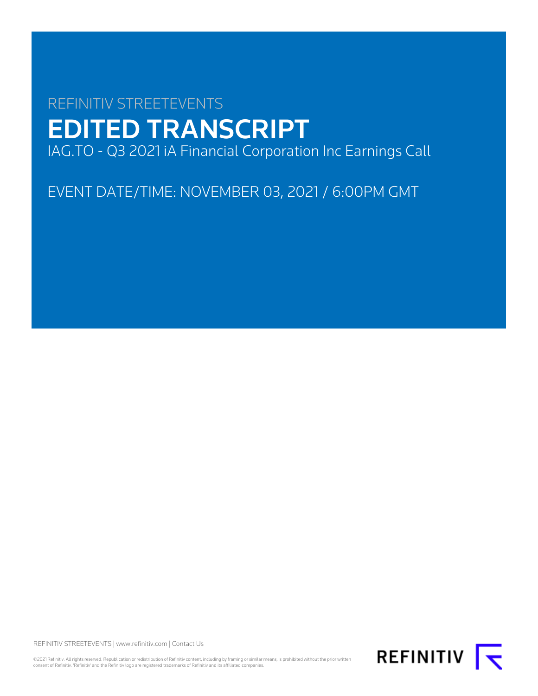# REFINITIV STREETEVENTS EDITED TRANSCRIPT IAG.TO - Q3 2021 iA Financial Corporation Inc Earnings Call

EVENT DATE/TIME: NOVEMBER 03, 2021 / 6:00PM GMT

REFINITIV STREETEVENTS | [www.refinitiv.com](https://www.refinitiv.com/) | [Contact Us](https://www.refinitiv.com/en/contact-us)

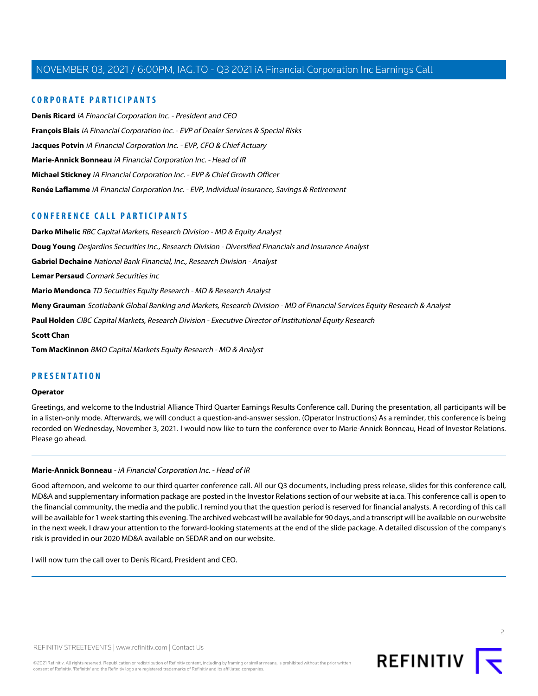# **CORPORATE PARTICIPANTS**

**[Denis Ricard](#page-2-0)** iA Financial Corporation Inc. - President and CEO **[François Blais](#page-11-0)** iA Financial Corporation Inc. - EVP of Dealer Services & Special Risks **[Jacques Potvin](#page-3-0)** iA Financial Corporation Inc. - EVP, CFO & Chief Actuary **[Marie-Annick Bonneau](#page-1-0)** iA Financial Corporation Inc. - Head of IR **[Michael Stickney](#page-3-1)** iA Financial Corporation Inc. - EVP & Chief Growth Officer **[Renée Laflamme](#page-9-0)** iA Financial Corporation Inc. - EVP, Individual Insurance, Savings & Retirement

# **CONFERENCE CALL PARTICIPANTS**

**[Darko Mihelic](#page-15-0)** RBC Capital Markets, Research Division - MD & Equity Analyst **[Doug Young](#page-9-1)** Desjardins Securities Inc., Research Division - Diversified Financials and Insurance Analyst **[Gabriel Dechaine](#page-5-0)** National Bank Financial, Inc., Research Division - Analyst **[Lemar Persaud](#page-12-0)** Cormark Securities inc **[Mario Mendonca](#page-13-0)** TD Securities Equity Research - MD & Research Analyst **[Meny Grauman](#page-6-0)** Scotiabank Global Banking and Markets, Research Division - MD of Financial Services Equity Research & Analyst **[Paul Holden](#page-11-1)** CIBC Capital Markets, Research Division - Executive Director of Institutional Equity Research **[Scott Chan](#page-8-0) [Tom MacKinnon](#page-7-0)** BMO Capital Markets Equity Research - MD & Analyst

# **PRESENTATION**

#### **Operator**

<span id="page-1-0"></span>Greetings, and welcome to the Industrial Alliance Third Quarter Earnings Results Conference call. During the presentation, all participants will be in a listen-only mode. Afterwards, we will conduct a question-and-answer session. (Operator Instructions) As a reminder, this conference is being recorded on Wednesday, November 3, 2021. I would now like to turn the conference over to Marie-Annick Bonneau, Head of Investor Relations. Please go ahead.

#### **Marie-Annick Bonneau** - iA Financial Corporation Inc. - Head of IR

Good afternoon, and welcome to our third quarter conference call. All our Q3 documents, including press release, slides for this conference call, MD&A and supplementary information package are posted in the Investor Relations section of our website at ia.ca. This conference call is open to the financial community, the media and the public. I remind you that the question period is reserved for financial analysts. A recording of this call will be available for 1 week starting this evening. The archived webcast will be available for 90 days, and a transcript will be available on our website in the next week. I draw your attention to the forward-looking statements at the end of the slide package. A detailed discussion of the company's risk is provided in our 2020 MD&A available on SEDAR and on our website.

I will now turn the call over to Denis Ricard, President and CEO.



 $\supset$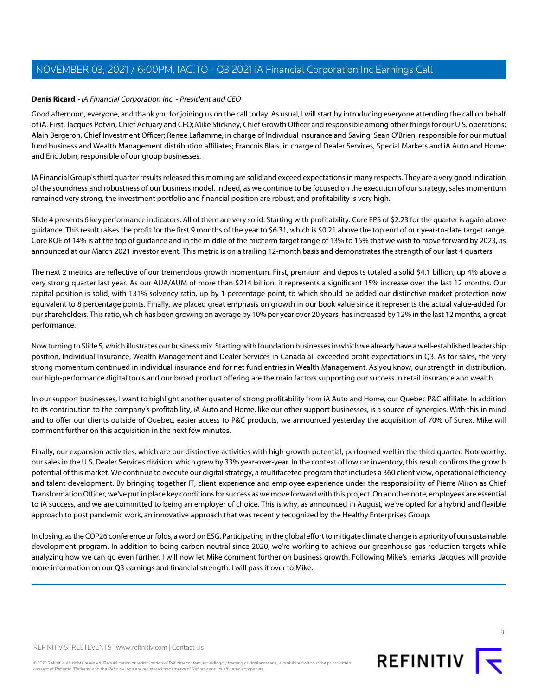# <span id="page-2-0"></span>**Denis Ricard** - iA Financial Corporation Inc. - President and CEO

Good afternoon, everyone, and thank you for joining us on the call today. As usual, I will start by introducing everyone attending the call on behalf of iA. First, Jacques Potvin, Chief Actuary and CFO; Mike Stickney, Chief Growth Officer and responsible among other things for our U.S. operations; Alain Bergeron, Chief Investment Officer; Renee Laflamme, in charge of Individual Insurance and Saving; Sean O'Brien, responsible for our mutual fund business and Wealth Management distribution affiliates; Francois Blais, in charge of Dealer Services, Special Markets and iA Auto and Home; and Eric Jobin, responsible of our group businesses.

IA Financial Group's third quarter results released this morning are solid and exceed expectations in many respects. They are a very good indication of the soundness and robustness of our business model. Indeed, as we continue to be focused on the execution of our strategy, sales momentum remained very strong, the investment portfolio and financial position are robust, and profitability is very high.

Slide 4 presents 6 key performance indicators. All of them are very solid. Starting with profitability. Core EPS of \$2.23 for the quarter is again above guidance. This result raises the profit for the first 9 months of the year to \$6.31, which is \$0.21 above the top end of our year-to-date target range. Core ROE of 14% is at the top of guidance and in the middle of the midterm target range of 13% to 15% that we wish to move forward by 2023, as announced at our March 2021 investor event. This metric is on a trailing 12-month basis and demonstrates the strength of our last 4 quarters.

The next 2 metrics are reflective of our tremendous growth momentum. First, premium and deposits totaled a solid \$4.1 billion, up 4% above a very strong quarter last year. As our AUA/AUM of more than \$214 billion, it represents a significant 15% increase over the last 12 months. Our capital position is solid, with 131% solvency ratio, up by 1 percentage point, to which should be added our distinctive market protection now equivalent to 8 percentage points. Finally, we placed great emphasis on growth in our book value since it represents the actual value-added for our shareholders. This ratio, which has been growing on average by 10% per year over 20 years, has increased by 12% in the last 12 months, a great performance.

Now turning to Slide 5, which illustrates our business mix. Starting with foundation businesses in which we already have a well-established leadership position, Individual Insurance, Wealth Management and Dealer Services in Canada all exceeded profit expectations in Q3. As for sales, the very strong momentum continued in individual insurance and for net fund entries in Wealth Management. As you know, our strength in distribution, our high-performance digital tools and our broad product offering are the main factors supporting our success in retail insurance and wealth.

In our support businesses, I want to highlight another quarter of strong profitability from iA Auto and Home, our Quebec P&C affiliate. In addition to its contribution to the company's profitability, iA Auto and Home, like our other support businesses, is a source of synergies. With this in mind and to offer our clients outside of Quebec, easier access to P&C products, we announced yesterday the acquisition of 70% of Surex. Mike will comment further on this acquisition in the next few minutes.

Finally, our expansion activities, which are our distinctive activities with high growth potential, performed well in the third quarter. Noteworthy, our sales in the U.S. Dealer Services division, which grew by 33% year-over-year. In the context of low car inventory, this result confirms the growth potential of this market. We continue to execute our digital strategy, a multifaceted program that includes a 360 client view, operational efficiency and talent development. By bringing together IT, client experience and employee experience under the responsibility of Pierre Miron as Chief Transformation Officer, we've put in place key conditions for success as we move forward with this project. On another note, employees are essential to iA success, and we are committed to being an employer of choice. This is why, as announced in August, we've opted for a hybrid and flexible approach to post pandemic work, an innovative approach that was recently recognized by the Healthy Enterprises Group.

In closing, as the COP26 conference unfolds, a word on ESG. Participating in the global effort to mitigate climate change is a priority of our sustainable development program. In addition to being carbon neutral since 2020, we're working to achieve our greenhouse gas reduction targets while analyzing how we can go even further. I will now let Mike comment further on business growth. Following Mike's remarks, Jacques will provide more information on our Q3 earnings and financial strength. I will pass it over to Mike.

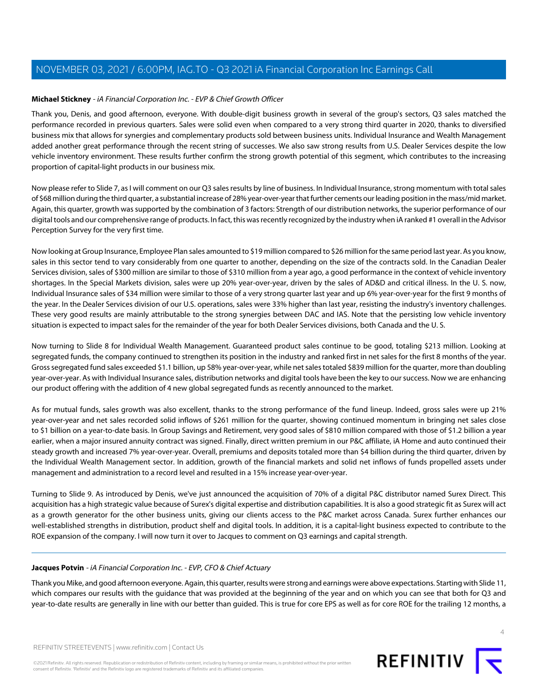# <span id="page-3-1"></span>**Michael Stickney** - iA Financial Corporation Inc. - EVP & Chief Growth Officer

Thank you, Denis, and good afternoon, everyone. With double-digit business growth in several of the group's sectors, Q3 sales matched the performance recorded in previous quarters. Sales were solid even when compared to a very strong third quarter in 2020, thanks to diversified business mix that allows for synergies and complementary products sold between business units. Individual Insurance and Wealth Management added another great performance through the recent string of successes. We also saw strong results from U.S. Dealer Services despite the low vehicle inventory environment. These results further confirm the strong growth potential of this segment, which contributes to the increasing proportion of capital-light products in our business mix.

Now please refer to Slide 7, as I will comment on our Q3 sales results by line of business. In Individual Insurance, strong momentum with total sales of \$68 million during the third quarter, a substantial increase of 28% year-over-year that further cements our leading position in the mass/mid market. Again, this quarter, growth was supported by the combination of 3 factors: Strength of our distribution networks, the superior performance of our digital tools and our comprehensive range of products. In fact, this was recently recognized by the industry when iA ranked #1 overall in the Advisor Perception Survey for the very first time.

Now looking at Group Insurance, Employee Plan sales amounted to \$19 million compared to \$26 million for the same period last year. As you know, sales in this sector tend to vary considerably from one quarter to another, depending on the size of the contracts sold. In the Canadian Dealer Services division, sales of \$300 million are similar to those of \$310 million from a year ago, a good performance in the context of vehicle inventory shortages. In the Special Markets division, sales were up 20% year-over-year, driven by the sales of AD&D and critical illness. In the U. S. now, Individual Insurance sales of \$34 million were similar to those of a very strong quarter last year and up 6% year-over-year for the first 9 months of the year. In the Dealer Services division of our U.S. operations, sales were 33% higher than last year, resisting the industry's inventory challenges. These very good results are mainly attributable to the strong synergies between DAC and IAS. Note that the persisting low vehicle inventory situation is expected to impact sales for the remainder of the year for both Dealer Services divisions, both Canada and the U. S.

Now turning to Slide 8 for Individual Wealth Management. Guaranteed product sales continue to be good, totaling \$213 million. Looking at segregated funds, the company continued to strengthen its position in the industry and ranked first in net sales for the first 8 months of the year. Gross segregated fund sales exceeded \$1.1 billion, up 58% year-over-year, while net sales totaled \$839 million for the quarter, more than doubling year-over-year. As with Individual Insurance sales, distribution networks and digital tools have been the key to our success. Now we are enhancing our product offering with the addition of 4 new global segregated funds as recently announced to the market.

As for mutual funds, sales growth was also excellent, thanks to the strong performance of the fund lineup. Indeed, gross sales were up 21% year-over-year and net sales recorded solid inflows of \$261 million for the quarter, showing continued momentum in bringing net sales close to \$1 billion on a year-to-date basis. In Group Savings and Retirement, very good sales of \$810 million compared with those of \$1.2 billion a year earlier, when a major insured annuity contract was signed. Finally, direct written premium in our P&C affiliate, iA Home and auto continued their steady growth and increased 7% year-over-year. Overall, premiums and deposits totaled more than \$4 billion during the third quarter, driven by the Individual Wealth Management sector. In addition, growth of the financial markets and solid net inflows of funds propelled assets under management and administration to a record level and resulted in a 15% increase year-over-year.

<span id="page-3-0"></span>Turning to Slide 9. As introduced by Denis, we've just announced the acquisition of 70% of a digital P&C distributor named Surex Direct. This acquisition has a high strategic value because of Surex's digital expertise and distribution capabilities. It is also a good strategic fit as Surex will act as a growth generator for the other business units, giving our clients access to the P&C market across Canada. Surex further enhances our well-established strengths in distribution, product shelf and digital tools. In addition, it is a capital-light business expected to contribute to the ROE expansion of the company. I will now turn it over to Jacques to comment on Q3 earnings and capital strength.

# **Jacques Potvin** - iA Financial Corporation Inc. - EVP, CFO & Chief Actuary

Thank you Mike, and good afternoon everyone. Again, this quarter, results were strong and earnings were above expectations. Starting with Slide 11, which compares our results with the guidance that was provided at the beginning of the year and on which you can see that both for Q3 and year-to-date results are generally in line with our better than guided. This is true for core EPS as well as for core ROE for the trailing 12 months, a

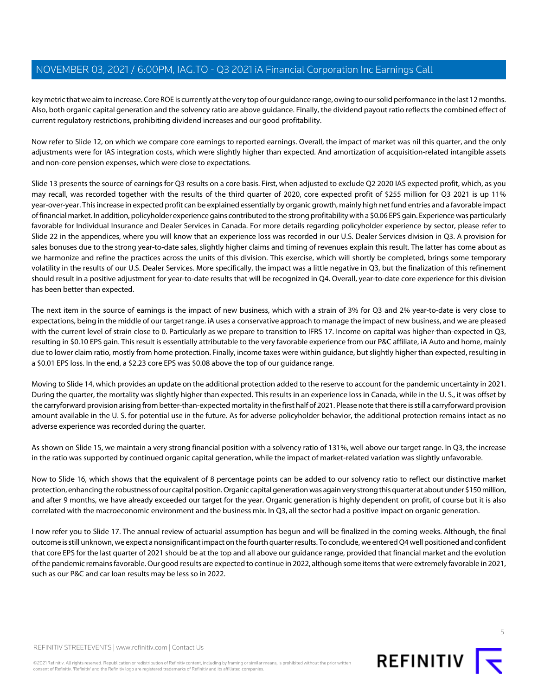key metric that we aim to increase. Core ROE is currently at the very top of our guidance range, owing to our solid performance in the last 12 months. Also, both organic capital generation and the solvency ratio are above guidance. Finally, the dividend payout ratio reflects the combined effect of current regulatory restrictions, prohibiting dividend increases and our good profitability.

Now refer to Slide 12, on which we compare core earnings to reported earnings. Overall, the impact of market was nil this quarter, and the only adjustments were for IAS integration costs, which were slightly higher than expected. And amortization of acquisition-related intangible assets and non-core pension expenses, which were close to expectations.

Slide 13 presents the source of earnings for Q3 results on a core basis. First, when adjusted to exclude Q2 2020 IAS expected profit, which, as you may recall, was recorded together with the results of the third quarter of 2020, core expected profit of \$255 million for Q3 2021 is up 11% year-over-year. This increase in expected profit can be explained essentially by organic growth, mainly high net fund entries and a favorable impact of financial market. In addition, policyholder experience gains contributed to the strong profitability with a \$0.06 EPS gain. Experience was particularly favorable for Individual Insurance and Dealer Services in Canada. For more details regarding policyholder experience by sector, please refer to Slide 22 in the appendices, where you will know that an experience loss was recorded in our U.S. Dealer Services division in Q3. A provision for sales bonuses due to the strong year-to-date sales, slightly higher claims and timing of revenues explain this result. The latter has come about as we harmonize and refine the practices across the units of this division. This exercise, which will shortly be completed, brings some temporary volatility in the results of our U.S. Dealer Services. More specifically, the impact was a little negative in Q3, but the finalization of this refinement should result in a positive adjustment for year-to-date results that will be recognized in Q4. Overall, year-to-date core experience for this division has been better than expected.

The next item in the source of earnings is the impact of new business, which with a strain of 3% for Q3 and 2% year-to-date is very close to expectations, being in the middle of our target range. iA uses a conservative approach to manage the impact of new business, and we are pleased with the current level of strain close to 0. Particularly as we prepare to transition to IFRS 17. Income on capital was higher-than-expected in Q3, resulting in \$0.10 EPS gain. This result is essentially attributable to the very favorable experience from our P&C affiliate, iA Auto and home, mainly due to lower claim ratio, mostly from home protection. Finally, income taxes were within guidance, but slightly higher than expected, resulting in a \$0.01 EPS loss. In the end, a \$2.23 core EPS was \$0.08 above the top of our guidance range.

Moving to Slide 14, which provides an update on the additional protection added to the reserve to account for the pandemic uncertainty in 2021. During the quarter, the mortality was slightly higher than expected. This results in an experience loss in Canada, while in the U. S., it was offset by the carryforward provision arising from better-than-expected mortality in the first half of 2021. Please note that there is still a carryforward provision amount available in the U. S. for potential use in the future. As for adverse policyholder behavior, the additional protection remains intact as no adverse experience was recorded during the quarter.

As shown on Slide 15, we maintain a very strong financial position with a solvency ratio of 131%, well above our target range. In Q3, the increase in the ratio was supported by continued organic capital generation, while the impact of market-related variation was slightly unfavorable.

Now to Slide 16, which shows that the equivalent of 8 percentage points can be added to our solvency ratio to reflect our distinctive market protection, enhancing the robustness of our capital position. Organic capital generation was again very strong this quarter at about under \$150 million, and after 9 months, we have already exceeded our target for the year. Organic generation is highly dependent on profit, of course but it is also correlated with the macroeconomic environment and the business mix. In Q3, all the sector had a positive impact on organic generation.

I now refer you to Slide 17. The annual review of actuarial assumption has begun and will be finalized in the coming weeks. Although, the final outcome is still unknown, we expect a nonsignificant impact on the fourth quarter results. To conclude, we entered Q4 well positioned and confident that core EPS for the last quarter of 2021 should be at the top and all above our guidance range, provided that financial market and the evolution of the pandemic remains favorable. Our good results are expected to continue in 2022, although some items that were extremely favorable in 2021, such as our P&C and car loan results may be less so in 2022.



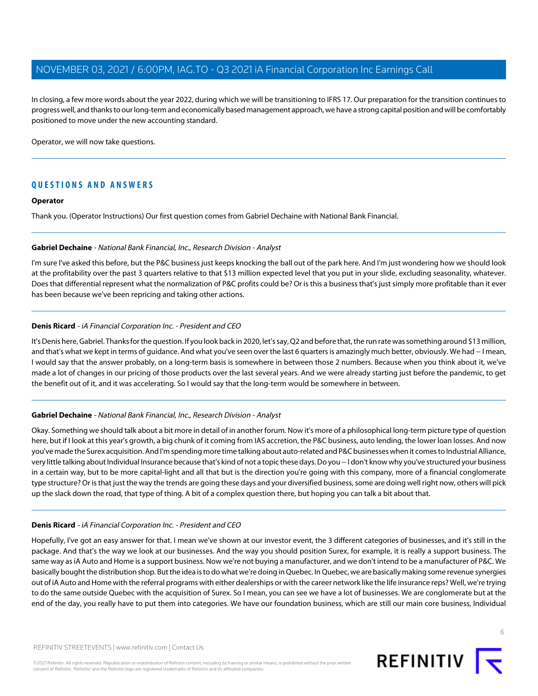In closing, a few more words about the year 2022, during which we will be transitioning to IFRS 17. Our preparation for the transition continues to progress well, and thanks to our long-term and economically based management approach, we have a strong capital position and will be comfortably positioned to move under the new accounting standard.

Operator, we will now take questions.

# **QUESTIONS AND ANSWERS**

#### **Operator**

<span id="page-5-0"></span>Thank you. (Operator Instructions) Our first question comes from Gabriel Dechaine with National Bank Financial.

#### **Gabriel Dechaine** - National Bank Financial, Inc., Research Division - Analyst

I'm sure I've asked this before, but the P&C business just keeps knocking the ball out of the park here. And I'm just wondering how we should look at the profitability over the past 3 quarters relative to that \$13 million expected level that you put in your slide, excluding seasonality, whatever. Does that differential represent what the normalization of P&C profits could be? Or is this a business that's just simply more profitable than it ever has been because we've been repricing and taking other actions.

# **Denis Ricard** - iA Financial Corporation Inc. - President and CEO

It's Denis here, Gabriel. Thanks for the question. If you look back in 2020, let's say, Q2 and before that, the run rate was something around \$13 million, and that's what we kept in terms of guidance. And what you've seen over the last 6 quarters is amazingly much better, obviously. We had -- I mean, I would say that the answer probably, on a long-term basis is somewhere in between those 2 numbers. Because when you think about it, we've made a lot of changes in our pricing of those products over the last several years. And we were already starting just before the pandemic, to get the benefit out of it, and it was accelerating. So I would say that the long-term would be somewhere in between.

# **Gabriel Dechaine** - National Bank Financial, Inc., Research Division - Analyst

Okay. Something we should talk about a bit more in detail of in another forum. Now it's more of a philosophical long-term picture type of question here, but if I look at this year's growth, a big chunk of it coming from IAS accretion, the P&C business, auto lending, the lower loan losses. And now you've made the Surex acquisition. And I'm spending more time talking about auto-related and P&C businesses when it comes to Industrial Alliance, very little talking about Individual Insurance because that's kind of not a topic these days. Do you -- I don't know why you've structured your business in a certain way, but to be more capital-light and all that but is the direction you're going with this company, more of a financial conglomerate type structure? Or is that just the way the trends are going these days and your diversified business, some are doing well right now, others will pick up the slack down the road, that type of thing. A bit of a complex question there, but hoping you can talk a bit about that.

# **Denis Ricard** - iA Financial Corporation Inc. - President and CEO

Hopefully, I've got an easy answer for that. I mean we've shown at our investor event, the 3 different categories of businesses, and it's still in the package. And that's the way we look at our businesses. And the way you should position Surex, for example, it is really a support business. The same way as iA Auto and Home is a support business. Now we're not buying a manufacturer, and we don't intend to be a manufacturer of P&C. We basically bought the distribution shop. But the idea is to do what we're doing in Quebec. In Quebec, we are basically making some revenue synergies out of iA Auto and Home with the referral programs with either dealerships or with the career network like the life insurance reps? Well, we're trying to do the same outside Quebec with the acquisition of Surex. So I mean, you can see we have a lot of businesses. We are conglomerate but at the end of the day, you really have to put them into categories. We have our foundation business, which are still our main core business, Individual

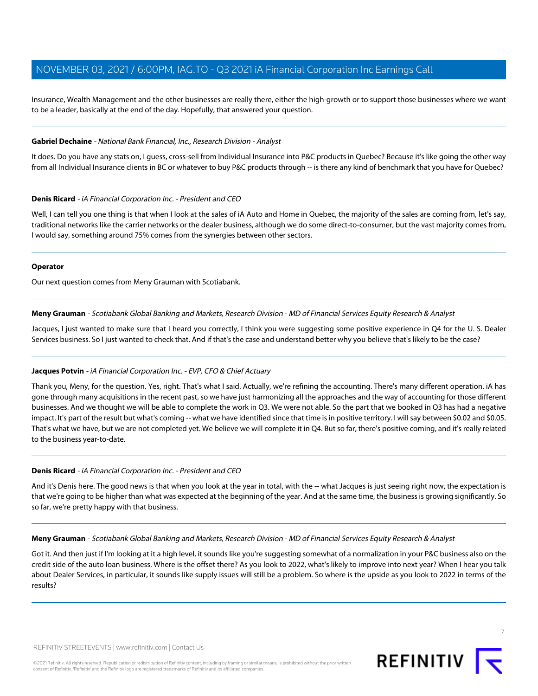Insurance, Wealth Management and the other businesses are really there, either the high-growth or to support those businesses where we want to be a leader, basically at the end of the day. Hopefully, that answered your question.

# **Gabriel Dechaine** - National Bank Financial, Inc., Research Division - Analyst

It does. Do you have any stats on, I guess, cross-sell from Individual Insurance into P&C products in Quebec? Because it's like going the other way from all Individual Insurance clients in BC or whatever to buy P&C products through -- is there any kind of benchmark that you have for Quebec?

#### **Denis Ricard** - iA Financial Corporation Inc. - President and CEO

Well, I can tell you one thing is that when I look at the sales of iA Auto and Home in Quebec, the majority of the sales are coming from, let's say, traditional networks like the carrier networks or the dealer business, although we do some direct-to-consumer, but the vast majority comes from, I would say, something around 75% comes from the synergies between other sectors.

#### **Operator**

<span id="page-6-0"></span>Our next question comes from Meny Grauman with Scotiabank.

#### **Meny Grauman** - Scotiabank Global Banking and Markets, Research Division - MD of Financial Services Equity Research & Analyst

Jacques, I just wanted to make sure that I heard you correctly, I think you were suggesting some positive experience in Q4 for the U. S. Dealer Services business. So I just wanted to check that. And if that's the case and understand better why you believe that's likely to be the case?

# **Jacques Potvin** - iA Financial Corporation Inc. - EVP, CFO & Chief Actuary

Thank you, Meny, for the question. Yes, right. That's what I said. Actually, we're refining the accounting. There's many different operation. iA has gone through many acquisitions in the recent past, so we have just harmonizing all the approaches and the way of accounting for those different businesses. And we thought we will be able to complete the work in Q3. We were not able. So the part that we booked in Q3 has had a negative impact. It's part of the result but what's coming -- what we have identified since that time is in positive territory. I will say between \$0.02 and \$0.05. That's what we have, but we are not completed yet. We believe we will complete it in Q4. But so far, there's positive coming, and it's really related to the business year-to-date.

#### **Denis Ricard** - iA Financial Corporation Inc. - President and CEO

And it's Denis here. The good news is that when you look at the year in total, with the -- what Jacques is just seeing right now, the expectation is that we're going to be higher than what was expected at the beginning of the year. And at the same time, the business is growing significantly. So so far, we're pretty happy with that business.

**Meny Grauman** - Scotiabank Global Banking and Markets, Research Division - MD of Financial Services Equity Research & Analyst

Got it. And then just if I'm looking at it a high level, it sounds like you're suggesting somewhat of a normalization in your P&C business also on the credit side of the auto loan business. Where is the offset there? As you look to 2022, what's likely to improve into next year? When I hear you talk about Dealer Services, in particular, it sounds like supply issues will still be a problem. So where is the upside as you look to 2022 in terms of the results?

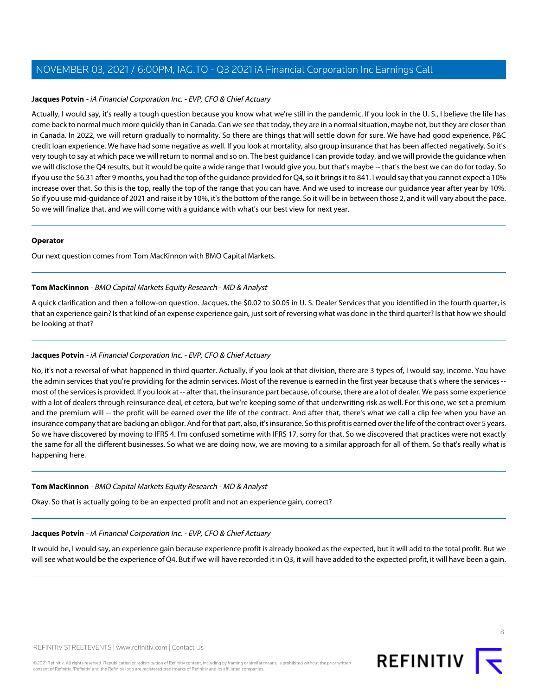# **Jacques Potvin** - iA Financial Corporation Inc. - EVP, CFO & Chief Actuary

Actually, I would say, it's really a tough question because you know what we're still in the pandemic. If you look in the U. S., I believe the life has come back to normal much more quickly than in Canada. Can we see that today, they are in a normal situation, maybe not, but they are closer than in Canada. In 2022, we will return gradually to normality. So there are things that will settle down for sure. We have had good experience, P&C credit loan experience. We have had some negative as well. If you look at mortality, also group insurance that has been affected negatively. So it's very tough to say at which pace we will return to normal and so on. The best guidance I can provide today, and we will provide the guidance when we will disclose the Q4 results, but it would be quite a wide range that I would give you, but that's maybe -- that's the best we can do for today. So if you use the \$6.31 after 9 months, you had the top of the guidance provided for Q4, so it brings it to 841. I would say that you cannot expect a 10% increase over that. So this is the top, really the top of the range that you can have. And we used to increase our guidance year after year by 10%. So if you use mid-guidance of 2021 and raise it by 10%, it's the bottom of the range. So it will be in between those 2, and it will vary about the pace. So we will finalize that, and we will come with a guidance with what's our best view for next year.

#### **Operator**

<span id="page-7-0"></span>Our next question comes from Tom MacKinnon with BMO Capital Markets.

#### **Tom MacKinnon** - BMO Capital Markets Equity Research - MD & Analyst

A quick clarification and then a follow-on question. Jacques, the \$0.02 to \$0.05 in U. S. Dealer Services that you identified in the fourth quarter, is that an experience gain? Is that kind of an expense experience gain, just sort of reversing what was done in the third quarter? Is that how we should be looking at that?

# **Jacques Potvin** - iA Financial Corporation Inc. - EVP, CFO & Chief Actuary

No, it's not a reversal of what happened in third quarter. Actually, if you look at that division, there are 3 types of, I would say, income. You have the admin services that you're providing for the admin services. Most of the revenue is earned in the first year because that's where the services - most of the services is provided. If you look at -- after that, the insurance part because, of course, there are a lot of dealer. We pass some experience with a lot of dealers through reinsurance deal, et cetera, but we're keeping some of that underwriting risk as well. For this one, we set a premium and the premium will -- the profit will be earned over the life of the contract. And after that, there's what we call a clip fee when you have an insurance company that are backing an obligor. And for that part, also, it's insurance. So this profit is earned over the life of the contract over 5 years. So we have discovered by moving to IFRS 4. I'm confused sometime with IFRS 17, sorry for that. So we discovered that practices were not exactly the same for all the different businesses. So what we are doing now, we are moving to a similar approach for all of them. So that's really what is happening here.

# **Tom MacKinnon** - BMO Capital Markets Equity Research - MD & Analyst

Okay. So that is actually going to be an expected profit and not an experience gain, correct?

# **Jacques Potvin** - iA Financial Corporation Inc. - EVP, CFO & Chief Actuary

It would be, I would say, an experience gain because experience profit is already booked as the expected, but it will add to the total profit. But we will see what would be the experience of Q4. But if we will have recorded it in Q3, it will have added to the expected profit, it will have been a gain.

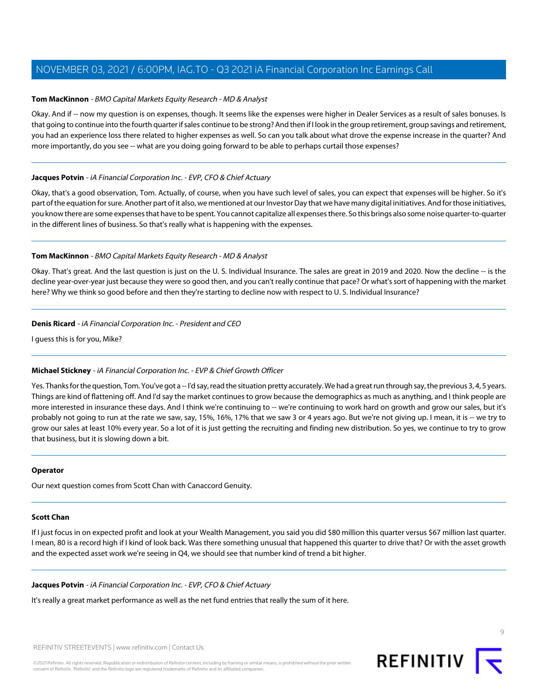# **Tom MacKinnon** - BMO Capital Markets Equity Research - MD & Analyst

Okay. And if -- now my question is on expenses, though. It seems like the expenses were higher in Dealer Services as a result of sales bonuses. Is that going to continue into the fourth quarter if sales continue to be strong? And then if I look in the group retirement, group savings and retirement, you had an experience loss there related to higher expenses as well. So can you talk about what drove the expense increase in the quarter? And more importantly, do you see -- what are you doing going forward to be able to perhaps curtail those expenses?

# **Jacques Potvin** - iA Financial Corporation Inc. - EVP, CFO & Chief Actuary

Okay, that's a good observation, Tom. Actually, of course, when you have such level of sales, you can expect that expenses will be higher. So it's part of the equation for sure. Another part of it also, we mentioned at our Investor Day that we have many digital initiatives. And for those initiatives, you know there are some expenses that have to be spent. You cannot capitalize all expenses there. So this brings also some noise quarter-to-quarter in the different lines of business. So that's really what is happening with the expenses.

# **Tom MacKinnon** - BMO Capital Markets Equity Research - MD & Analyst

Okay. That's great. And the last question is just on the U. S. Individual Insurance. The sales are great in 2019 and 2020. Now the decline -- is the decline year-over-year just because they were so good then, and you can't really continue that pace? Or what's sort of happening with the market here? Why we think so good before and then they're starting to decline now with respect to U. S. Individual Insurance?

# **Denis Ricard** - iA Financial Corporation Inc. - President and CEO

I guess this is for you, Mike?

# **Michael Stickney** - iA Financial Corporation Inc. - EVP & Chief Growth Officer

Yes. Thanks for the question, Tom. You've got a -- I'd say, read the situation pretty accurately. We had a great run through say, the previous 3, 4, 5 years. Things are kind of flattening off. And I'd say the market continues to grow because the demographics as much as anything, and I think people are more interested in insurance these days. And I think we're continuing to -- we're continuing to work hard on growth and grow our sales, but it's probably not going to run at the rate we saw, say, 15%, 16%, 17% that we saw 3 or 4 years ago. But we're not giving up. I mean, it is -- we try to grow our sales at least 10% every year. So a lot of it is just getting the recruiting and finding new distribution. So yes, we continue to try to grow that business, but it is slowing down a bit.

# <span id="page-8-0"></span>**Operator**

Our next question comes from Scott Chan with Canaccord Genuity.

# **Scott Chan**

If I just focus in on expected profit and look at your Wealth Management, you said you did \$80 million this quarter versus \$67 million last quarter. I mean, 80 is a record high if I kind of look back. Was there something unusual that happened this quarter to drive that? Or with the asset growth and the expected asset work we're seeing in Q4, we should see that number kind of trend a bit higher.

# **Jacques Potvin** - iA Financial Corporation Inc. - EVP, CFO & Chief Actuary

It's really a great market performance as well as the net fund entries that really the sum of it here.

REFINITIV STREETEVENTS | [www.refinitiv.com](https://www.refinitiv.com/) | [Contact Us](https://www.refinitiv.com/en/contact-us)



 $\circ$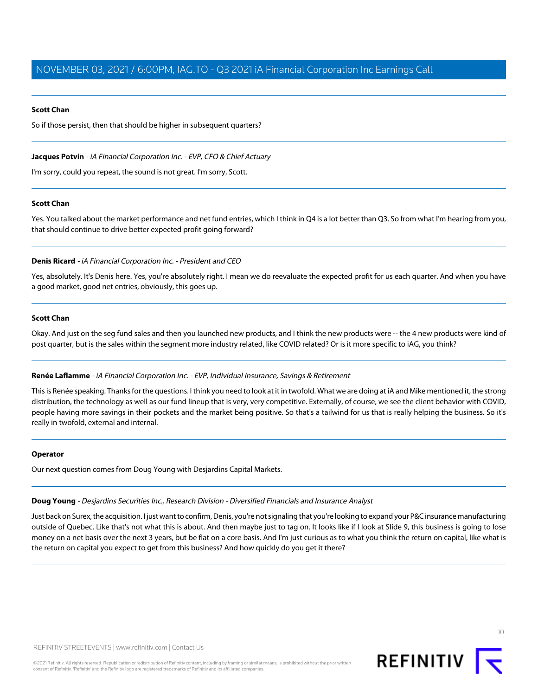#### **Scott Chan**

So if those persist, then that should be higher in subsequent quarters?

# **Jacques Potvin** - iA Financial Corporation Inc. - EVP, CFO & Chief Actuary

I'm sorry, could you repeat, the sound is not great. I'm sorry, Scott.

# **Scott Chan**

Yes. You talked about the market performance and net fund entries, which I think in Q4 is a lot better than Q3. So from what I'm hearing from you, that should continue to drive better expected profit going forward?

# **Denis Ricard** - iA Financial Corporation Inc. - President and CEO

Yes, absolutely. It's Denis here. Yes, you're absolutely right. I mean we do reevaluate the expected profit for us each quarter. And when you have a good market, good net entries, obviously, this goes up.

# **Scott Chan**

<span id="page-9-0"></span>Okay. And just on the seg fund sales and then you launched new products, and I think the new products were -- the 4 new products were kind of post quarter, but is the sales within the segment more industry related, like COVID related? Or is it more specific to iAG, you think?

# **Renée Laflamme** - iA Financial Corporation Inc. - EVP, Individual Insurance, Savings & Retirement

This is Renée speaking. Thanks for the questions. I think you need to look at it in twofold. What we are doing at iA and Mike mentioned it, the strong distribution, the technology as well as our fund lineup that is very, very competitive. Externally, of course, we see the client behavior with COVID, people having more savings in their pockets and the market being positive. So that's a tailwind for us that is really helping the business. So it's really in twofold, external and internal.

#### <span id="page-9-1"></span>**Operator**

Our next question comes from Doug Young with Desjardins Capital Markets.

# **Doug Young** - Desjardins Securities Inc., Research Division - Diversified Financials and Insurance Analyst

Just back on Surex, the acquisition. I just want to confirm, Denis, you're not signaling that you're looking to expand your P&C insurance manufacturing outside of Quebec. Like that's not what this is about. And then maybe just to tag on. It looks like if I look at Slide 9, this business is going to lose money on a net basis over the next 3 years, but be flat on a core basis. And I'm just curious as to what you think the return on capital, like what is the return on capital you expect to get from this business? And how quickly do you get it there?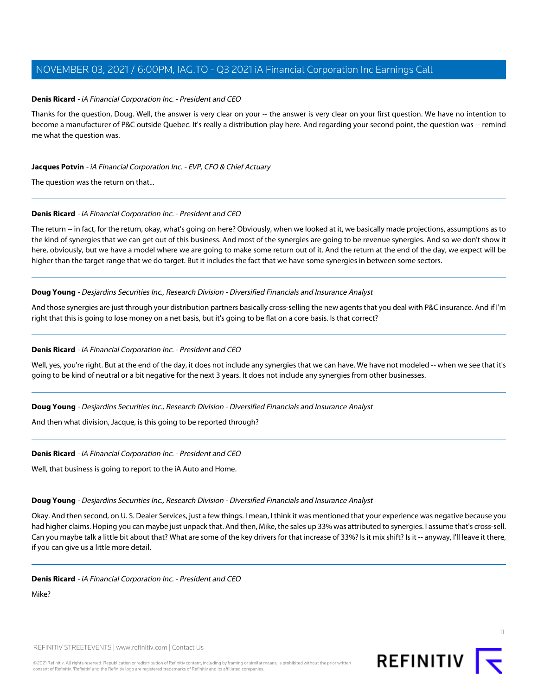#### **Denis Ricard** - iA Financial Corporation Inc. - President and CEO

Thanks for the question, Doug. Well, the answer is very clear on your -- the answer is very clear on your first question. We have no intention to become a manufacturer of P&C outside Quebec. It's really a distribution play here. And regarding your second point, the question was -- remind me what the question was.

#### **Jacques Potvin** - iA Financial Corporation Inc. - EVP, CFO & Chief Actuary

The question was the return on that...

# **Denis Ricard** - iA Financial Corporation Inc. - President and CEO

The return -- in fact, for the return, okay, what's going on here? Obviously, when we looked at it, we basically made projections, assumptions as to the kind of synergies that we can get out of this business. And most of the synergies are going to be revenue synergies. And so we don't show it here, obviously, but we have a model where we are going to make some return out of it. And the return at the end of the day, we expect will be higher than the target range that we do target. But it includes the fact that we have some synergies in between some sectors.

#### **Doug Young** - Desjardins Securities Inc., Research Division - Diversified Financials and Insurance Analyst

And those synergies are just through your distribution partners basically cross-selling the new agents that you deal with P&C insurance. And if I'm right that this is going to lose money on a net basis, but it's going to be flat on a core basis. Is that correct?

#### **Denis Ricard** - iA Financial Corporation Inc. - President and CEO

Well, yes, you're right. But at the end of the day, it does not include any synergies that we can have. We have not modeled -- when we see that it's going to be kind of neutral or a bit negative for the next 3 years. It does not include any synergies from other businesses.

**Doug Young** - Desjardins Securities Inc., Research Division - Diversified Financials and Insurance Analyst

And then what division, Jacque, is this going to be reported through?

**Denis Ricard** - iA Financial Corporation Inc. - President and CEO

Well, that business is going to report to the iA Auto and Home.

**Doug Young** - Desjardins Securities Inc., Research Division - Diversified Financials and Insurance Analyst

Okay. And then second, on U. S. Dealer Services, just a few things. I mean, I think it was mentioned that your experience was negative because you had higher claims. Hoping you can maybe just unpack that. And then, Mike, the sales up 33% was attributed to synergies. I assume that's cross-sell. Can you maybe talk a little bit about that? What are some of the key drivers for that increase of 33%? Is it mix shift? Is it -- anyway, I'll leave it there, if you can give us a little more detail.

#### **Denis Ricard** - iA Financial Corporation Inc. - President and CEO

Mike?



11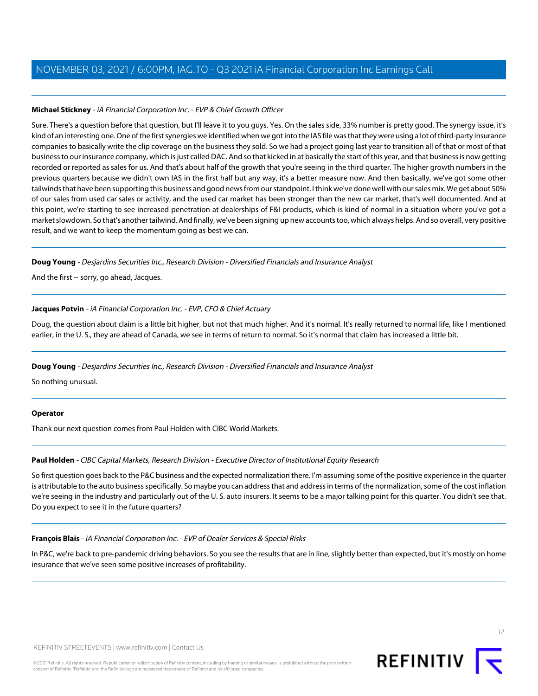# **Michael Stickney** - iA Financial Corporation Inc. - EVP & Chief Growth Officer

Sure. There's a question before that question, but I'll leave it to you guys. Yes. On the sales side, 33% number is pretty good. The synergy issue, it's kind of an interesting one. One of the first synergies we identified when we got into the IAS file was that they were using a lot of third-party insurance companies to basically write the clip coverage on the business they sold. So we had a project going last year to transition all of that or most of that business to our insurance company, which is just called DAC. And so that kicked in at basically the start of this year, and that business is now getting recorded or reported as sales for us. And that's about half of the growth that you're seeing in the third quarter. The higher growth numbers in the previous quarters because we didn't own IAS in the first half but any way, it's a better measure now. And then basically, we've got some other tailwinds that have been supporting this business and good news from our standpoint. I think we've done well with our sales mix. We get about 50% of our sales from used car sales or activity, and the used car market has been stronger than the new car market, that's well documented. And at this point, we're starting to see increased penetration at dealerships of F&I products, which is kind of normal in a situation where you've got a market slowdown. So that's another tailwind. And finally, we've been signing up new accounts too, which always helps. And so overall, very positive result, and we want to keep the momentum going as best we can.

# **Doug Young** - Desjardins Securities Inc., Research Division - Diversified Financials and Insurance Analyst

And the first -- sorry, go ahead, Jacques.

# **Jacques Potvin** - iA Financial Corporation Inc. - EVP, CFO & Chief Actuary

Doug, the question about claim is a little bit higher, but not that much higher. And it's normal. It's really returned to normal life, like I mentioned earlier, in the U. S., they are ahead of Canada, we see in terms of return to normal. So it's normal that claim has increased a little bit.

# **Doug Young** - Desjardins Securities Inc., Research Division - Diversified Financials and Insurance Analyst

So nothing unusual.

# <span id="page-11-1"></span>**Operator**

Thank our next question comes from Paul Holden with CIBC World Markets.

# **Paul Holden** - CIBC Capital Markets, Research Division - Executive Director of Institutional Equity Research

<span id="page-11-0"></span>So first question goes back to the P&C business and the expected normalization there. I'm assuming some of the positive experience in the quarter is attributable to the auto business specifically. So maybe you can address that and address in terms of the normalization, some of the cost inflation we're seeing in the industry and particularly out of the U. S. auto insurers. It seems to be a major talking point for this quarter. You didn't see that. Do you expect to see it in the future quarters?

# **François Blais** - iA Financial Corporation Inc. - EVP of Dealer Services & Special Risks

In P&C, we're back to pre-pandemic driving behaviors. So you see the results that are in line, slightly better than expected, but it's mostly on home insurance that we've seen some positive increases of profitability.

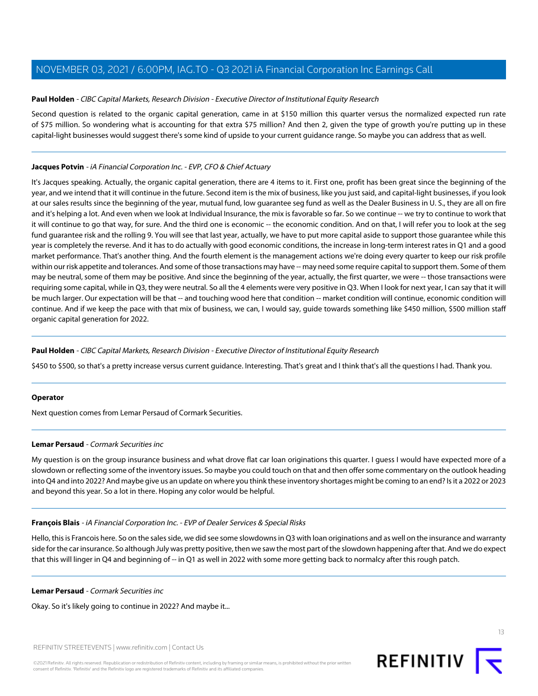#### **Paul Holden** - CIBC Capital Markets, Research Division - Executive Director of Institutional Equity Research

Second question is related to the organic capital generation, came in at \$150 million this quarter versus the normalized expected run rate of \$75 million. So wondering what is accounting for that extra \$75 million? And then 2, given the type of growth you're putting up in these capital-light businesses would suggest there's some kind of upside to your current guidance range. So maybe you can address that as well.

#### **Jacques Potvin** - iA Financial Corporation Inc. - EVP, CFO & Chief Actuary

It's Jacques speaking. Actually, the organic capital generation, there are 4 items to it. First one, profit has been great since the beginning of the year, and we intend that it will continue in the future. Second item is the mix of business, like you just said, and capital-light businesses, if you look at our sales results since the beginning of the year, mutual fund, low guarantee seg fund as well as the Dealer Business in U. S., they are all on fire and it's helping a lot. And even when we look at Individual Insurance, the mix is favorable so far. So we continue -- we try to continue to work that it will continue to go that way, for sure. And the third one is economic -- the economic condition. And on that, I will refer you to look at the seg fund guarantee risk and the rolling 9. You will see that last year, actually, we have to put more capital aside to support those guarantee while this year is completely the reverse. And it has to do actually with good economic conditions, the increase in long-term interest rates in Q1 and a good market performance. That's another thing. And the fourth element is the management actions we're doing every quarter to keep our risk profile within our risk appetite and tolerances. And some of those transactions may have -- may need some require capital to support them. Some of them may be neutral, some of them may be positive. And since the beginning of the year, actually, the first quarter, we were -- those transactions were requiring some capital, while in Q3, they were neutral. So all the 4 elements were very positive in Q3. When I look for next year, I can say that it will be much larger. Our expectation will be that -- and touching wood here that condition -- market condition will continue, economic condition will continue. And if we keep the pace with that mix of business, we can, I would say, guide towards something like \$450 million, \$500 million staff organic capital generation for 2022.

#### **Paul Holden** - CIBC Capital Markets, Research Division - Executive Director of Institutional Equity Research

\$450 to \$500, so that's a pretty increase versus current guidance. Interesting. That's great and I think that's all the questions I had. Thank you.

#### <span id="page-12-0"></span>**Operator**

Next question comes from Lemar Persaud of Cormark Securities.

#### **Lemar Persaud** - Cormark Securities inc

My question is on the group insurance business and what drove flat car loan originations this quarter. I guess I would have expected more of a slowdown or reflecting some of the inventory issues. So maybe you could touch on that and then offer some commentary on the outlook heading into Q4 and into 2022? And maybe give us an update on where you think these inventory shortages might be coming to an end? Is it a 2022 or 2023 and beyond this year. So a lot in there. Hoping any color would be helpful.

#### **François Blais** - iA Financial Corporation Inc. - EVP of Dealer Services & Special Risks

Hello, this is Francois here. So on the sales side, we did see some slowdowns in Q3 with loan originations and as well on the insurance and warranty side for the car insurance. So although July was pretty positive, then we saw the most part of the slowdown happening after that. And we do expect that this will linger in Q4 and beginning of -- in Q1 as well in 2022 with some more getting back to normalcy after this rough patch.

**Lemar Persaud** - Cormark Securities inc

Okay. So it's likely going to continue in 2022? And maybe it...

REFINITIV STREETEVENTS | [www.refinitiv.com](https://www.refinitiv.com/) | [Contact Us](https://www.refinitiv.com/en/contact-us)

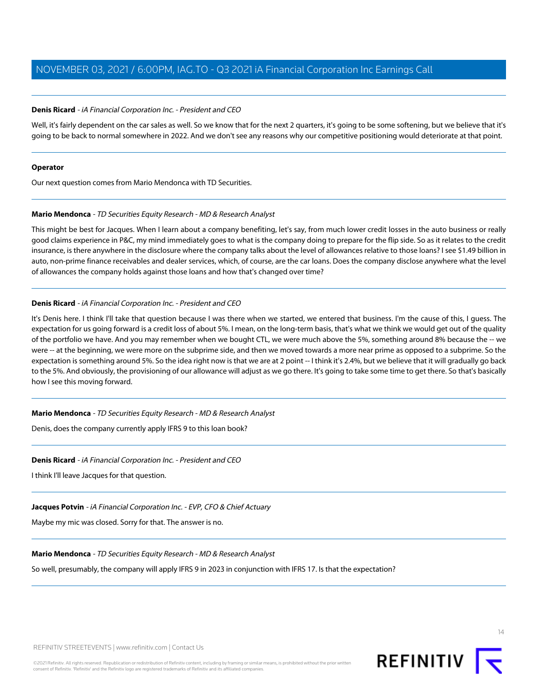#### **Denis Ricard** - iA Financial Corporation Inc. - President and CEO

Well, it's fairly dependent on the car sales as well. So we know that for the next 2 quarters, it's going to be some softening, but we believe that it's going to be back to normal somewhere in 2022. And we don't see any reasons why our competitive positioning would deteriorate at that point.

#### **Operator**

<span id="page-13-0"></span>Our next question comes from Mario Mendonca with TD Securities.

# **Mario Mendonca** - TD Securities Equity Research - MD & Research Analyst

This might be best for Jacques. When I learn about a company benefiting, let's say, from much lower credit losses in the auto business or really good claims experience in P&C, my mind immediately goes to what is the company doing to prepare for the flip side. So as it relates to the credit insurance, is there anywhere in the disclosure where the company talks about the level of allowances relative to those loans? I see \$1.49 billion in auto, non-prime finance receivables and dealer services, which, of course, are the car loans. Does the company disclose anywhere what the level of allowances the company holds against those loans and how that's changed over time?

# **Denis Ricard** - iA Financial Corporation Inc. - President and CEO

It's Denis here. I think I'll take that question because I was there when we started, we entered that business. I'm the cause of this, I guess. The expectation for us going forward is a credit loss of about 5%. I mean, on the long-term basis, that's what we think we would get out of the quality of the portfolio we have. And you may remember when we bought CTL, we were much above the 5%, something around 8% because the -- we were -- at the beginning, we were more on the subprime side, and then we moved towards a more near prime as opposed to a subprime. So the expectation is something around 5%. So the idea right now is that we are at 2 point -- I think it's 2.4%, but we believe that it will gradually go back to the 5%. And obviously, the provisioning of our allowance will adjust as we go there. It's going to take some time to get there. So that's basically how I see this moving forward.

#### **Mario Mendonca** - TD Securities Equity Research - MD & Research Analyst

Denis, does the company currently apply IFRS 9 to this loan book?

# **Denis Ricard** - iA Financial Corporation Inc. - President and CEO

I think I'll leave Jacques for that question.

# **Jacques Potvin** - iA Financial Corporation Inc. - EVP, CFO & Chief Actuary

Maybe my mic was closed. Sorry for that. The answer is no.

#### **Mario Mendonca** - TD Securities Equity Research - MD & Research Analyst

So well, presumably, the company will apply IFRS 9 in 2023 in conjunction with IFRS 17. Is that the expectation?

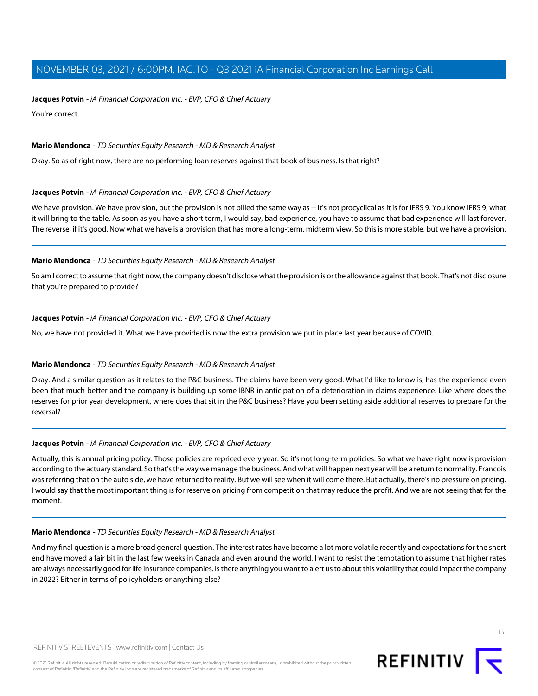#### **Jacques Potvin** - iA Financial Corporation Inc. - EVP, CFO & Chief Actuary

You're correct.

# **Mario Mendonca** - TD Securities Equity Research - MD & Research Analyst

Okay. So as of right now, there are no performing loan reserves against that book of business. Is that right?

# **Jacques Potvin** - iA Financial Corporation Inc. - EVP, CFO & Chief Actuary

We have provision. We have provision, but the provision is not billed the same way as -- it's not procyclical as it is for IFRS 9. You know IFRS 9, what it will bring to the table. As soon as you have a short term, I would say, bad experience, you have to assume that bad experience will last forever. The reverse, if it's good. Now what we have is a provision that has more a long-term, midterm view. So this is more stable, but we have a provision.

#### **Mario Mendonca** - TD Securities Equity Research - MD & Research Analyst

So am I correct to assume that right now, the company doesn't disclose what the provision is or the allowance against that book. That's not disclosure that you're prepared to provide?

# **Jacques Potvin** - iA Financial Corporation Inc. - EVP, CFO & Chief Actuary

No, we have not provided it. What we have provided is now the extra provision we put in place last year because of COVID.

# **Mario Mendonca** - TD Securities Equity Research - MD & Research Analyst

Okay. And a similar question as it relates to the P&C business. The claims have been very good. What I'd like to know is, has the experience even been that much better and the company is building up some IBNR in anticipation of a deterioration in claims experience. Like where does the reserves for prior year development, where does that sit in the P&C business? Have you been setting aside additional reserves to prepare for the reversal?

# **Jacques Potvin** - iA Financial Corporation Inc. - EVP, CFO & Chief Actuary

Actually, this is annual pricing policy. Those policies are repriced every year. So it's not long-term policies. So what we have right now is provision according to the actuary standard. So that's the way we manage the business. And what will happen next year will be a return to normality. Francois was referring that on the auto side, we have returned to reality. But we will see when it will come there. But actually, there's no pressure on pricing. I would say that the most important thing is for reserve on pricing from competition that may reduce the profit. And we are not seeing that for the moment.

#### **Mario Mendonca** - TD Securities Equity Research - MD & Research Analyst

And my final question is a more broad general question. The interest rates have become a lot more volatile recently and expectations for the short end have moved a fair bit in the last few weeks in Canada and even around the world. I want to resist the temptation to assume that higher rates are always necessarily good for life insurance companies. Is there anything you want to alert us to about this volatility that could impact the company in 2022? Either in terms of policyholders or anything else?

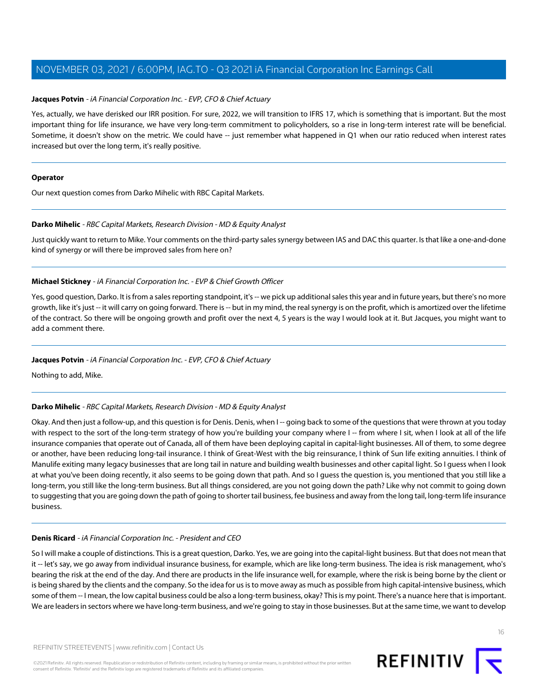# **Jacques Potvin** - iA Financial Corporation Inc. - EVP, CFO & Chief Actuary

Yes, actually, we have derisked our IRR position. For sure, 2022, we will transition to IFRS 17, which is something that is important. But the most important thing for life insurance, we have very long-term commitment to policyholders, so a rise in long-term interest rate will be beneficial. Sometime, it doesn't show on the metric. We could have -- just remember what happened in Q1 when our ratio reduced when interest rates increased but over the long term, it's really positive.

#### **Operator**

<span id="page-15-0"></span>Our next question comes from Darko Mihelic with RBC Capital Markets.

# **Darko Mihelic** - RBC Capital Markets, Research Division - MD & Equity Analyst

Just quickly want to return to Mike. Your comments on the third-party sales synergy between IAS and DAC this quarter. Is that like a one-and-done kind of synergy or will there be improved sales from here on?

# **Michael Stickney** - iA Financial Corporation Inc. - EVP & Chief Growth Officer

Yes, good question, Darko. It is from a sales reporting standpoint, it's -- we pick up additional sales this year and in future years, but there's no more growth, like it's just -- it will carry on going forward. There is -- but in my mind, the real synergy is on the profit, which is amortized over the lifetime of the contract. So there will be ongoing growth and profit over the next 4, 5 years is the way I would look at it. But Jacques, you might want to add a comment there.

# **Jacques Potvin** - iA Financial Corporation Inc. - EVP, CFO & Chief Actuary

Nothing to add, Mike.

# **Darko Mihelic** - RBC Capital Markets, Research Division - MD & Equity Analyst

Okay. And then just a follow-up, and this question is for Denis. Denis, when I -- going back to some of the questions that were thrown at you today with respect to the sort of the long-term strategy of how you're building your company where I -- from where I sit, when I look at all of the life insurance companies that operate out of Canada, all of them have been deploying capital in capital-light businesses. All of them, to some degree or another, have been reducing long-tail insurance. I think of Great-West with the big reinsurance, I think of Sun life exiting annuities. I think of Manulife exiting many legacy businesses that are long tail in nature and building wealth businesses and other capital light. So I guess when I look at what you've been doing recently, it also seems to be going down that path. And so I guess the question is, you mentioned that you still like a long-term, you still like the long-term business. But all things considered, are you not going down the path? Like why not commit to going down to suggesting that you are going down the path of going to shorter tail business, fee business and away from the long tail, long-term life insurance business.

# **Denis Ricard** - iA Financial Corporation Inc. - President and CEO

So I will make a couple of distinctions. This is a great question, Darko. Yes, we are going into the capital-light business. But that does not mean that it -- let's say, we go away from individual insurance business, for example, which are like long-term business. The idea is risk management, who's bearing the risk at the end of the day. And there are products in the life insurance well, for example, where the risk is being borne by the client or is being shared by the clients and the company. So the idea for us is to move away as much as possible from high capital-intensive business, which some of them -- I mean, the low capital business could be also a long-term business, okay? This is my point. There's a nuance here that is important. We are leaders in sectors where we have long-term business, and we're going to stay in those businesses. But at the same time, we want to develop

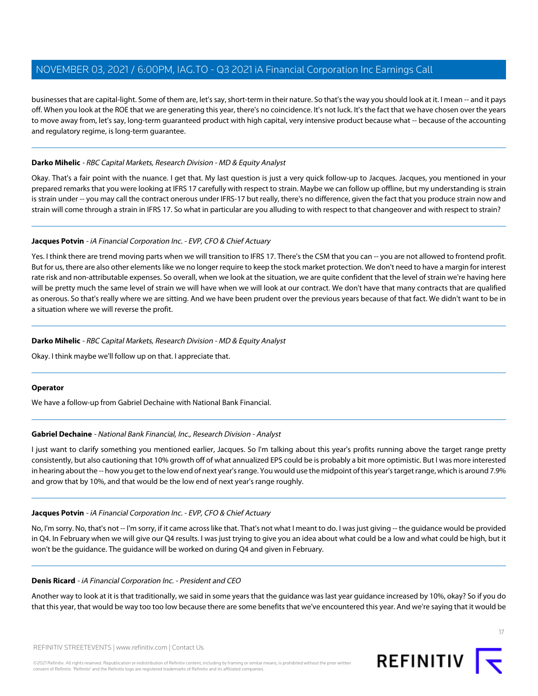businesses that are capital-light. Some of them are, let's say, short-term in their nature. So that's the way you should look at it. I mean -- and it pays off. When you look at the ROE that we are generating this year, there's no coincidence. It's not luck. It's the fact that we have chosen over the years to move away from, let's say, long-term guaranteed product with high capital, very intensive product because what -- because of the accounting and regulatory regime, is long-term guarantee.

# **Darko Mihelic** - RBC Capital Markets, Research Division - MD & Equity Analyst

Okay. That's a fair point with the nuance. I get that. My last question is just a very quick follow-up to Jacques. Jacques, you mentioned in your prepared remarks that you were looking at IFRS 17 carefully with respect to strain. Maybe we can follow up offline, but my understanding is strain is strain under -- you may call the contract onerous under IFRS-17 but really, there's no difference, given the fact that you produce strain now and strain will come through a strain in IFRS 17. So what in particular are you alluding to with respect to that changeover and with respect to strain?

# **Jacques Potvin** - iA Financial Corporation Inc. - EVP, CFO & Chief Actuary

Yes. I think there are trend moving parts when we will transition to IFRS 17. There's the CSM that you can -- you are not allowed to frontend profit. But for us, there are also other elements like we no longer require to keep the stock market protection. We don't need to have a margin for interest rate risk and non-attributable expenses. So overall, when we look at the situation, we are quite confident that the level of strain we're having here will be pretty much the same level of strain we will have when we will look at our contract. We don't have that many contracts that are qualified as onerous. So that's really where we are sitting. And we have been prudent over the previous years because of that fact. We didn't want to be in a situation where we will reverse the profit.

# **Darko Mihelic** - RBC Capital Markets, Research Division - MD & Equity Analyst

Okay. I think maybe we'll follow up on that. I appreciate that.

# **Operator**

We have a follow-up from Gabriel Dechaine with National Bank Financial.

# **Gabriel Dechaine** - National Bank Financial, Inc., Research Division - Analyst

I just want to clarify something you mentioned earlier, Jacques. So I'm talking about this year's profits running above the target range pretty consistently, but also cautioning that 10% growth off of what annualized EPS could be is probably a bit more optimistic. But I was more interested in hearing about the -- how you get to the low end of next year's range. You would use the midpoint of this year's target range, which is around 7.9% and grow that by 10%, and that would be the low end of next year's range roughly.

# **Jacques Potvin** - iA Financial Corporation Inc. - EVP, CFO & Chief Actuary

No, I'm sorry. No, that's not -- I'm sorry, if it came across like that. That's not what I meant to do. I was just giving -- the guidance would be provided in Q4. In February when we will give our Q4 results. I was just trying to give you an idea about what could be a low and what could be high, but it won't be the guidance. The guidance will be worked on during Q4 and given in February.

# **Denis Ricard** - iA Financial Corporation Inc. - President and CEO

Another way to look at it is that traditionally, we said in some years that the guidance was last year guidance increased by 10%, okay? So if you do that this year, that would be way too too low because there are some benefits that we've encountered this year. And we're saying that it would be

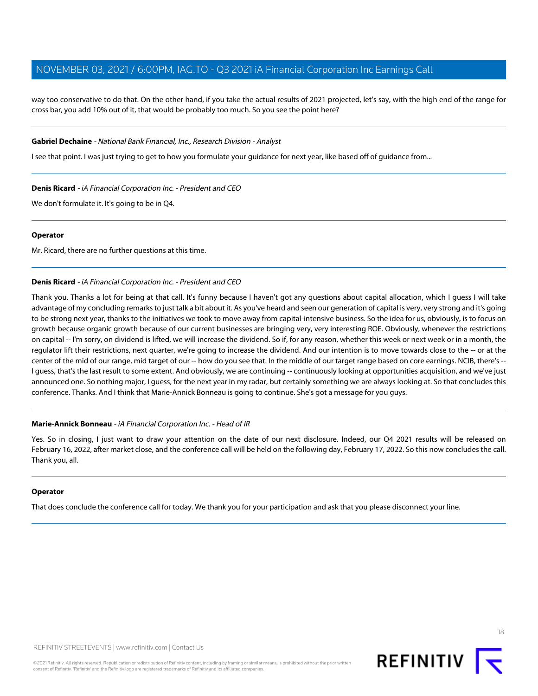way too conservative to do that. On the other hand, if you take the actual results of 2021 projected, let's say, with the high end of the range for cross bar, you add 10% out of it, that would be probably too much. So you see the point here?

#### **Gabriel Dechaine** - National Bank Financial, Inc., Research Division - Analyst

I see that point. I was just trying to get to how you formulate your guidance for next year, like based off of guidance from...

#### **Denis Ricard** - iA Financial Corporation Inc. - President and CEO

We don't formulate it. It's going to be in Q4.

#### **Operator**

Mr. Ricard, there are no further questions at this time.

#### **Denis Ricard** - iA Financial Corporation Inc. - President and CEO

Thank you. Thanks a lot for being at that call. It's funny because I haven't got any questions about capital allocation, which I guess I will take advantage of my concluding remarks to just talk a bit about it. As you've heard and seen our generation of capital is very, very strong and it's going to be strong next year, thanks to the initiatives we took to move away from capital-intensive business. So the idea for us, obviously, is to focus on growth because organic growth because of our current businesses are bringing very, very interesting ROE. Obviously, whenever the restrictions on capital -- I'm sorry, on dividend is lifted, we will increase the dividend. So if, for any reason, whether this week or next week or in a month, the regulator lift their restrictions, next quarter, we're going to increase the dividend. And our intention is to move towards close to the -- or at the center of the mid of our range, mid target of our -- how do you see that. In the middle of our target range based on core earnings. NCIB, there's -- I guess, that's the last result to some extent. And obviously, we are continuing -- continuously looking at opportunities acquisition, and we've just announced one. So nothing major, I guess, for the next year in my radar, but certainly something we are always looking at. So that concludes this conference. Thanks. And I think that Marie-Annick Bonneau is going to continue. She's got a message for you guys.

#### **Marie-Annick Bonneau** - iA Financial Corporation Inc. - Head of IR

Yes. So in closing, I just want to draw your attention on the date of our next disclosure. Indeed, our Q4 2021 results will be released on February 16, 2022, after market close, and the conference call will be held on the following day, February 17, 2022. So this now concludes the call. Thank you, all.

#### **Operator**

That does conclude the conference call for today. We thank you for your participation and ask that you please disconnect your line.

18